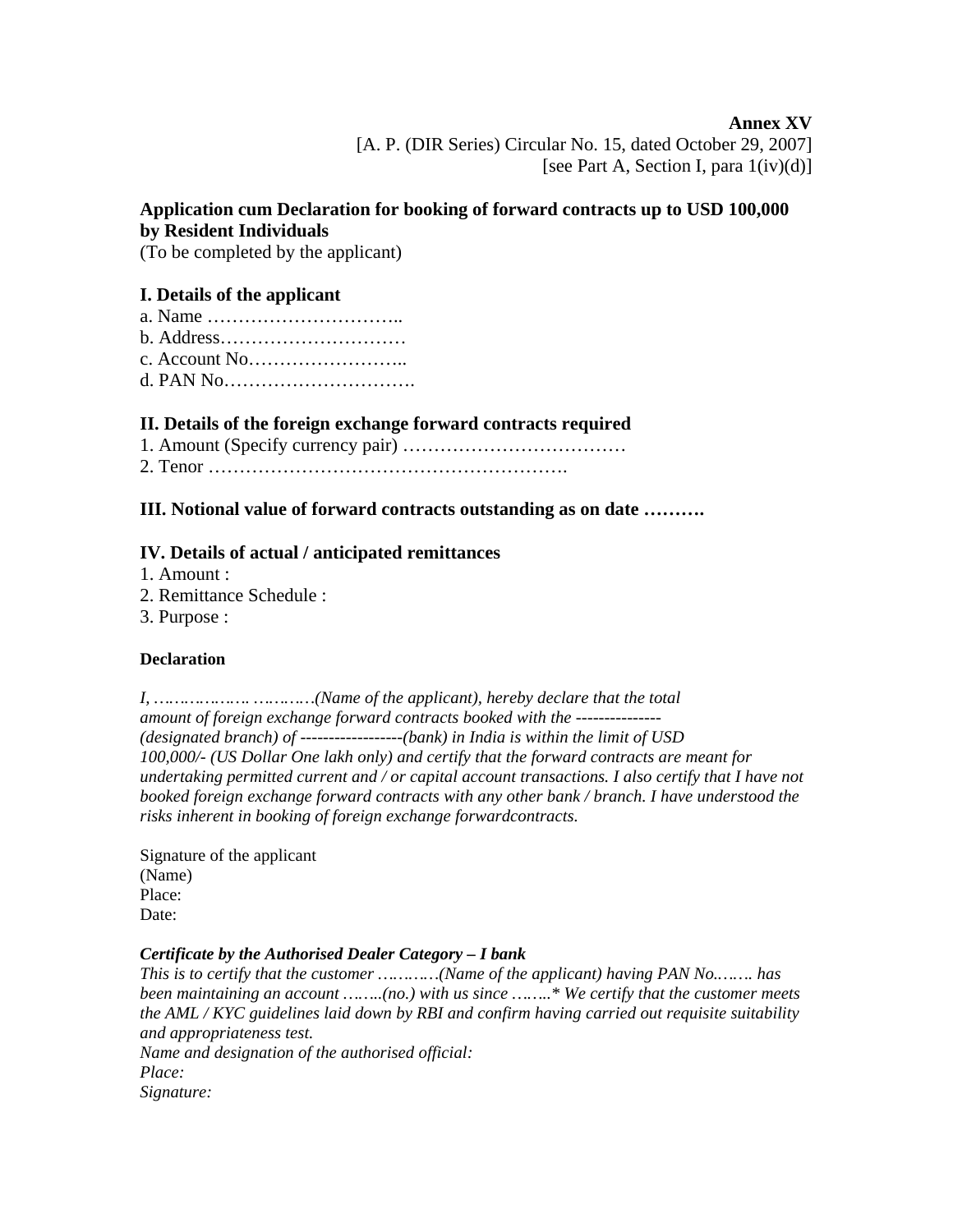**Annex XV**  [A. P. (DIR Series) Circular No. 15, dated October 29, 2007] [see Part A, Section I, para  $1(iv)(d)$ ]

# **Application cum Declaration for booking of forward contracts up to USD 100,000 by Resident Individuals**

(To be completed by the applicant)

## **I. Details of the applicant**

a. Name ………………………….. b. Address………………………… c. Account No…………………….. d. PAN No………………………….

#### **II. Details of the foreign exchange forward contracts required**

1. Amount (Specify currency pair) ………………………………

2. Tenor ………………………………………………….

## **III. Notional value of forward contracts outstanding as on date ……….**

#### **IV. Details of actual / anticipated remittances**

- 1. Amount :
- 2. Remittance Schedule :
- 3. Purpose :

#### **Declaration**

| amount of foreign exchange forward contracts booked with the ---------------                        |
|-----------------------------------------------------------------------------------------------------|
| (designated branch) of $-------------(bank)$ in India is within the limit of USD                    |
| 100,000/- (US Dollar One lakh only) and certify that the forward contracts are meant for            |
| undertaking permitted current and / or capital account transactions. I also certify that I have not |
| booked foreign exchange forward contracts with any other bank / branch. I have understood the       |
| risks inherent in booking of foreign exchange forwardcontracts.                                     |

Signature of the applicant (Name) Place: Date:

# *Certificate by the Authorised Dealer Category – I bank*

*This is to certify that the customer …………(Name of the applicant) having PAN No.……. has been maintaining an account ……..(no.) with us since ……..\* We certify that the customer meets the AML / KYC guidelines laid down by RBI and confirm having carried out requisite suitability and appropriateness test.* 

*Name and designation of the authorised official: Place: Signature:*